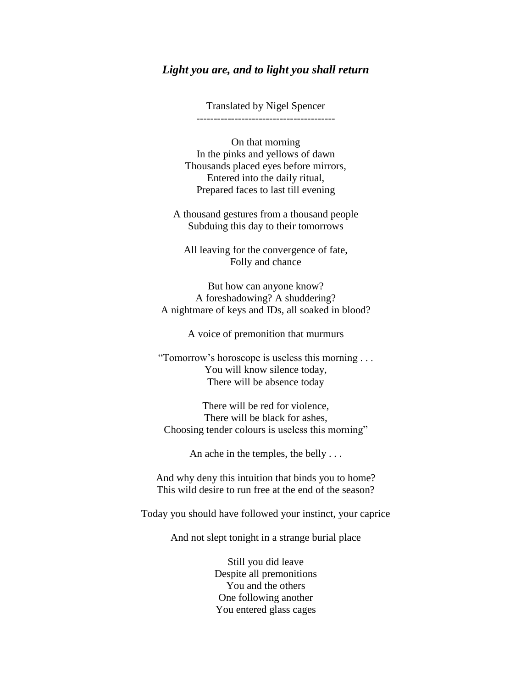## *Light you are, and to light you shall return*

Translated by Nigel Spencer ----------------------------------------

On that morning In the pinks and yellows of dawn Thousands placed eyes before mirrors, Entered into the daily ritual, Prepared faces to last till evening

A thousand gestures from a thousand people Subduing this day to their tomorrows

All leaving for the convergence of fate, Folly and chance

But how can anyone know? A foreshadowing? A shuddering? A nightmare of keys and IDs, all soaked in blood?

A voice of premonition that murmurs

"Tomorrow's horoscope is useless this morning . . . You will know silence today, There will be absence today

There will be red for violence, There will be black for ashes, Choosing tender colours is useless this morning"

An ache in the temples, the belly . . .

And why deny this intuition that binds you to home? This wild desire to run free at the end of the season?

Today you should have followed your instinct, your caprice

And not slept tonight in a strange burial place

Still you did leave Despite all premonitions You and the others One following another You entered glass cages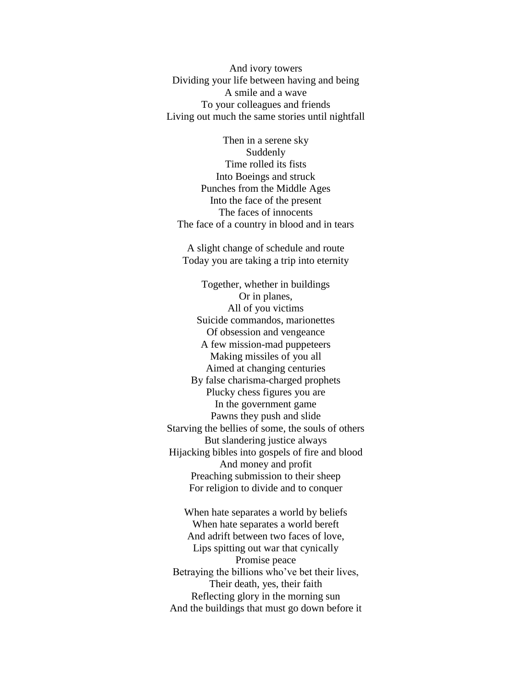And ivory towers Dividing your life between having and being A smile and a wave To your colleagues and friends Living out much the same stories until nightfall

Then in a serene sky Suddenly Time rolled its fists Into Boeings and struck Punches from the Middle Ages Into the face of the present The faces of innocents The face of a country in blood and in tears

A slight change of schedule and route Today you are taking a trip into eternity

Together, whether in buildings Or in planes, All of you victims Suicide commandos, marionettes Of obsession and vengeance A few mission-mad puppeteers Making missiles of you all Aimed at changing centuries By false charisma-charged prophets Plucky chess figures you are In the government game Pawns they push and slide Starving the bellies of some, the souls of others But slandering justice always Hijacking bibles into gospels of fire and blood And money and profit Preaching submission to their sheep For religion to divide and to conquer

When hate separates a world by beliefs When hate separates a world bereft And adrift between two faces of love, Lips spitting out war that cynically Promise peace Betraying the billions who've bet their lives, Their death, yes, their faith Reflecting glory in the morning sun And the buildings that must go down before it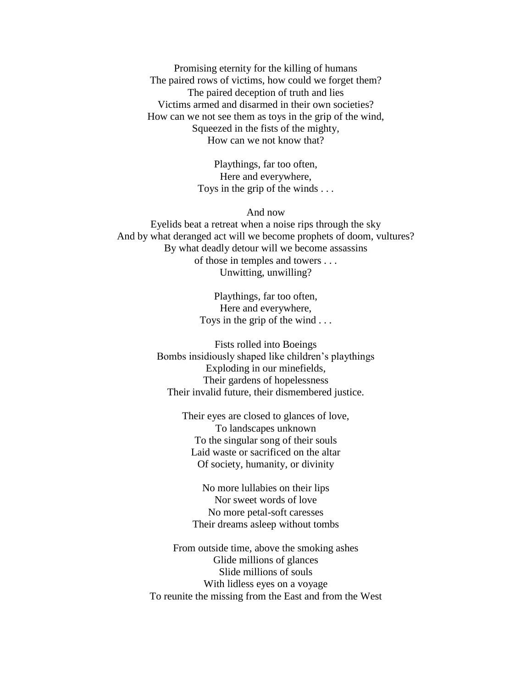Promising eternity for the killing of humans The paired rows of victims, how could we forget them? The paired deception of truth and lies Victims armed and disarmed in their own societies? How can we not see them as toys in the grip of the wind, Squeezed in the fists of the mighty, How can we not know that?

> Playthings, far too often, Here and everywhere, Toys in the grip of the winds . . .

## And now

Eyelids beat a retreat when a noise rips through the sky And by what deranged act will we become prophets of doom, vultures? By what deadly detour will we become assassins of those in temples and towers . . . Unwitting, unwilling?

> Playthings, far too often, Here and everywhere, Toys in the grip of the wind . . .

Fists rolled into Boeings Bombs insidiously shaped like children's playthings Exploding in our minefields, Their gardens of hopelessness Their invalid future, their dismembered justice.

> Their eyes are closed to glances of love, To landscapes unknown To the singular song of their souls Laid waste or sacrificed on the altar Of society, humanity, or divinity

No more lullabies on their lips Nor sweet words of love No more petal-soft caresses Their dreams asleep without tombs

From outside time, above the smoking ashes Glide millions of glances Slide millions of souls With lidless eyes on a voyage To reunite the missing from the East and from the West